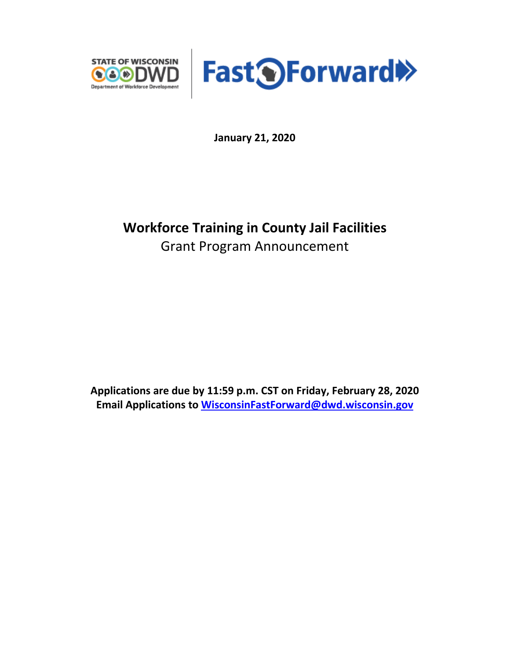



**January 21, 2020**

# **Workforce Training in County Jail Facilities** Grant Program Announcement

**Applications are due by 11:59 p.m. CST on Friday, February 28, 2020 Email Applications to [WisconsinFastForward@dwd.wisconsin.gov](mailto:WisconsinFastForward@dwd.wisconsin.gov)**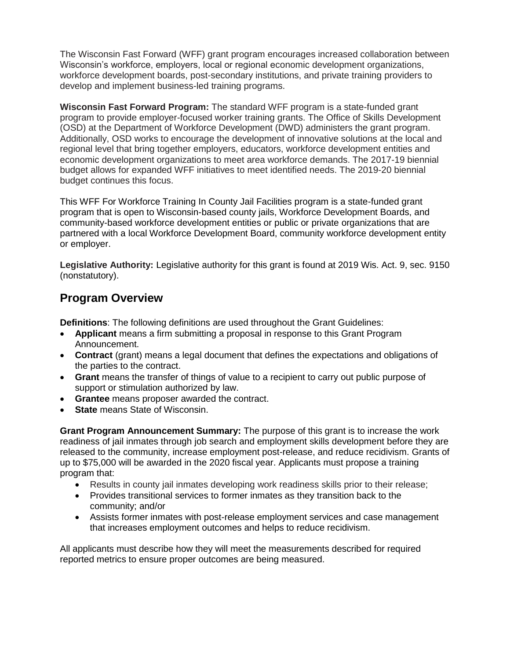The Wisconsin Fast Forward (WFF) grant program encourages increased collaboration between Wisconsin's workforce, employers, local or regional economic development organizations, workforce development boards, post-secondary institutions, and private training providers to develop and implement business-led training programs.

**Wisconsin Fast Forward Program:** The standard WFF program is a state-funded grant program to provide employer-focused worker training grants. The Office of Skills Development (OSD) at the Department of Workforce Development (DWD) administers the grant program. Additionally, OSD works to encourage the development of innovative solutions at the local and regional level that bring together employers, educators, workforce development entities and economic development organizations to meet area workforce demands. The 2017-19 biennial budget allows for expanded WFF initiatives to meet identified needs. The 2019-20 biennial budget continues this focus.

This WFF For Workforce Training In County Jail Facilities program is a state-funded grant program that is open to Wisconsin-based county jails, Workforce Development Boards, and community-based workforce development entities or public or private organizations that are partnered with a local Workforce Development Board, community workforce development entity or employer.

**Legislative Authority:** Legislative authority for this grant is found at 2019 Wis. Act. 9, sec. 9150 (nonstatutory).

## **Program Overview**

**Definitions**: The following definitions are used throughout the Grant Guidelines:

- **Applicant** means a firm submitting a proposal in response to this Grant Program Announcement.
- **Contract** (grant) means a legal document that defines the expectations and obligations of the parties to the contract.
- **Grant** means the transfer of things of value to a recipient to carry out public purpose of support or stimulation authorized by law.
- **Grantee** means proposer awarded the contract.
- **State** means State of Wisconsin.

**Grant Program Announcement Summary:** The purpose of this grant is to increase the work readiness of jail inmates through job search and employment skills development before they are released to the community, increase employment post-release, and reduce recidivism. Grants of up to \$75,000 will be awarded in the 2020 fiscal year. Applicants must propose a training program that:

- Results in county jail inmates developing work readiness skills prior to their release;
- Provides transitional services to former inmates as they transition back to the community; and/or
- Assists former inmates with post-release employment services and case management that increases employment outcomes and helps to reduce recidivism.

All applicants must describe how they will meet the measurements described for required reported metrics to ensure proper outcomes are being measured.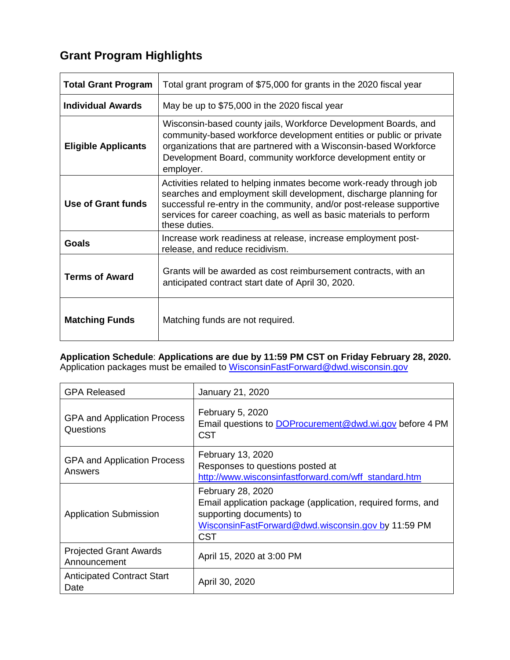# **Grant Program Highlights**

| <b>Total Grant Program</b> | Total grant program of \$75,000 for grants in the 2020 fiscal year                                                                                                                                                                                                                                       |  |
|----------------------------|----------------------------------------------------------------------------------------------------------------------------------------------------------------------------------------------------------------------------------------------------------------------------------------------------------|--|
| <b>Individual Awards</b>   | May be up to \$75,000 in the 2020 fiscal year                                                                                                                                                                                                                                                            |  |
| <b>Eligible Applicants</b> | Wisconsin-based county jails, Workforce Development Boards, and<br>community-based workforce development entities or public or private<br>organizations that are partnered with a Wisconsin-based Workforce<br>Development Board, community workforce development entity or<br>employer.                 |  |
| Use of Grant funds         | Activities related to helping inmates become work-ready through job<br>searches and employment skill development, discharge planning for<br>successful re-entry in the community, and/or post-release supportive<br>services for career coaching, as well as basic materials to perform<br>these duties. |  |
| Goals                      | Increase work readiness at release, increase employment post-<br>release, and reduce recidivism.                                                                                                                                                                                                         |  |
| <b>Terms of Award</b>      | Grants will be awarded as cost reimbursement contracts, with an<br>anticipated contract start date of April 30, 2020.                                                                                                                                                                                    |  |
| <b>Matching Funds</b>      | Matching funds are not required.                                                                                                                                                                                                                                                                         |  |

#### **Application Schedule**: **Applications are due by 11:59 PM CST on Friday February 28, 2020.**  Application packages must be emailed to [WisconsinFastForward@dwd.wisconsin.gov](mailto:WisconsinFastForward@dwd.wisconsin.gov)

| <b>GPA Released</b>                             | January 21, 2020                                                                                                                                                                 |
|-------------------------------------------------|----------------------------------------------------------------------------------------------------------------------------------------------------------------------------------|
| <b>GPA and Application Process</b><br>Questions | February 5, 2020<br>Email questions to DOProcurement@dwd.wi.gov before 4 PM<br><b>CST</b>                                                                                        |
| <b>GPA and Application Process</b><br>Answers   | February 13, 2020<br>Responses to questions posted at<br>http://www.wisconsinfastforward.com/wff_standard.htm                                                                    |
| <b>Application Submission</b>                   | February 28, 2020<br>Email application package (application, required forms, and<br>supporting documents) to<br>WisconsinFastForward@dwd.wisconsin.gov by 11:59 PM<br><b>CST</b> |
| <b>Projected Grant Awards</b><br>Announcement   | April 15, 2020 at 3:00 PM                                                                                                                                                        |
| <b>Anticipated Contract Start</b><br>Date       | April 30, 2020                                                                                                                                                                   |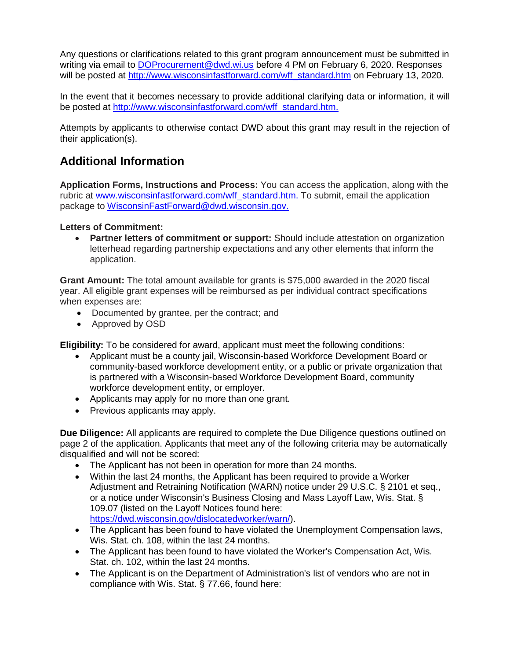Any questions or clarifications related to this grant program announcement must be submitted in writing via email to [DOProcurement@dwd.wi.us](mailto:DOProcurement@dwd.wi.us) before 4 PM on February 6, 2020. Responses will be posted at [http://www.wisconsinfastforward.com/wff\\_standard.htm](http://www.wisconsinfastforward.com/wff_standard.htm) on February 13, 2020.

In the event that it becomes necessary to provide additional clarifying data or information, it will be posted at [http://www.wisconsinfastforward.com/wff\\_standard.htm.](http://www.wisconsinfastforward.com/wff_standard.htm)

Attempts by applicants to otherwise contact DWD about this grant may result in the rejection of their application(s).

## **Additional Information**

**Application Forms, Instructions and Process:** You can access the application, along with the rubric at [www.wisconsinfastforward.com/wff\\_standard.htm.](http://www.wisconsinfastforward.com/wff_standard.htm) To submit, email the application package to [WisconsinFastForward@dwd.wisconsin.gov.](mailto:WisconsinFastForward@dwd.wisconsin.gov)

#### **Letters of Commitment:**

• **Partner letters of commitment or support:** Should include attestation on organization letterhead regarding partnership expectations and any other elements that inform the application.

**Grant Amount:** The total amount available for grants is \$75,000 awarded in the 2020 fiscal year. All eligible grant expenses will be reimbursed as per individual contract specifications when expenses are:

- Documented by grantee, per the contract; and
- Approved by OSD

**Eligibility:** To be considered for award, applicant must meet the following conditions:

- Applicant must be a county jail, Wisconsin-based Workforce Development Board or community-based workforce development entity, or a public or private organization that is partnered with a Wisconsin-based Workforce Development Board, community workforce development entity, or employer.
- Applicants may apply for no more than one grant.
- Previous applicants may apply.

**Due Diligence:** All applicants are required to complete the Due Diligence questions outlined on page 2 of the application. Applicants that meet any of the following criteria may be automatically disqualified and will not be scored:

- The Applicant has not been in operation for more than 24 months.
- Within the last 24 months, the Applicant has been required to provide a Worker Adjustment and Retraining Notification (WARN) notice under 29 U.S.C. § 2101 et seq., or a notice under Wisconsin's Business Closing and Mass Layoff Law, Wis. Stat. § 109.07 (listed on the Layoff Notices found here: [https://dwd.wisconsin.gov/dislocatedworker/warn/\)](https://dwd.wisconsin.gov/dislocatedworker/warn/).
- The Applicant has been found to have violated the Unemployment Compensation laws, Wis. Stat. ch. 108, within the last 24 months.
- The Applicant has been found to have violated the Worker's Compensation Act, Wis. Stat. ch. 102, within the last 24 months.
- The Applicant is on the Department of Administration's list of vendors who are not in compliance with Wis. Stat. § 77.66, found here: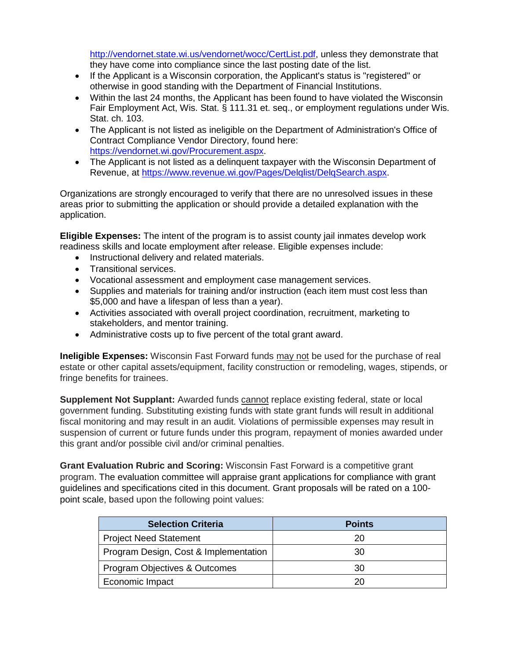[http://vendornet.state.wi.us/vendornet/wocc/CertList.pdf,](http://vendornet.state.wi.us/vendornet/wocc/CertList.pdf) unless they demonstrate that they have come into compliance since the last posting date of the list.

- If the Applicant is a Wisconsin corporation, the Applicant's status is "registered" or otherwise in good standing with the Department of Financial Institutions.
- Within the last 24 months, the Applicant has been found to have violated the Wisconsin Fair Employment Act, Wis. Stat. § 111.31 et. seq., or employment regulations under Wis. Stat. ch. 103.
- The Applicant is not listed as ineligible on the Department of Administration's Office of Contract Compliance Vendor Directory, found here: [https://vendornet.wi.gov/Procurement.aspx.](https://vendornet.wi.gov/Procurement.aspx)
- The Applicant is not listed as a delinquent taxpayer with the Wisconsin Department of Revenue, at https://www.revenue.wi.gov/Pages/Delglist/DelgSearch.aspx.

Organizations are strongly encouraged to verify that there are no unresolved issues in these areas prior to submitting the application or should provide a detailed explanation with the application.

**Eligible Expenses:** The intent of the program is to assist county jail inmates develop work readiness skills and locate employment after release. Eligible expenses include:

- Instructional delivery and related materials.
- Transitional services.
- Vocational assessment and employment case management services.
- Supplies and materials for training and/or instruction (each item must cost less than \$5,000 and have a lifespan of less than a year).
- Activities associated with overall project coordination, recruitment, marketing to stakeholders, and mentor training.
- Administrative costs up to five percent of the total grant award.

**Ineligible Expenses:** Wisconsin Fast Forward funds may not be used for the purchase of real estate or other capital assets/equipment, facility construction or remodeling, wages, stipends, or fringe benefits for trainees.

**Supplement Not Supplant:** Awarded funds cannot replace existing federal, state or local government funding. Substituting existing funds with state grant funds will result in additional fiscal monitoring and may result in an audit. Violations of permissible expenses may result in suspension of current or future funds under this program, repayment of monies awarded under this grant and/or possible civil and/or criminal penalties.

**Grant Evaluation Rubric and Scoring:** Wisconsin Fast Forward is a competitive grant program. The evaluation committee will appraise grant applications for compliance with grant guidelines and specifications cited in this document. Grant proposals will be rated on a 100 point scale, based upon the following point values:

| <b>Selection Criteria</b>             | <b>Points</b> |
|---------------------------------------|---------------|
| <b>Project Need Statement</b>         | 20            |
| Program Design, Cost & Implementation | 30            |
| Program Objectives & Outcomes         | 30            |
| Economic Impact                       | 20            |